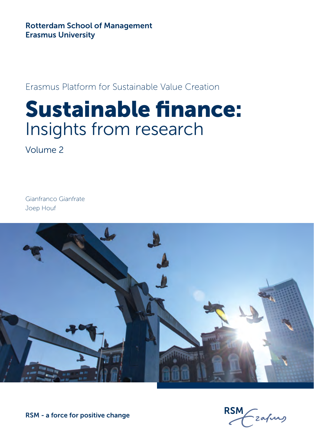Rotterdam School of Management Erasmus University

Erasmus Platform for Sustainable Value Creation

## Sustainable finance: Insights from research

Volume 2

Gianfranco Gianfrate Joep Houf



RSM - a force for positive change

**RSM**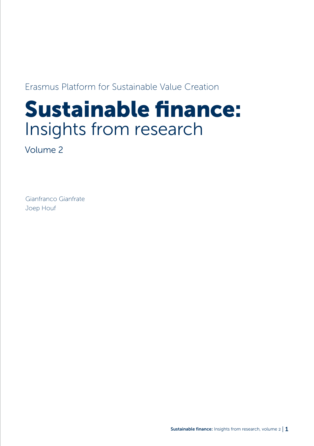Erasmus Platform for Sustainable Value Creation

## Sustainable finance: Insights from research

Volume 2

Gianfranco Gianfrate Joep Houf

Sustainable finance: Insights from research, volume 2 | 1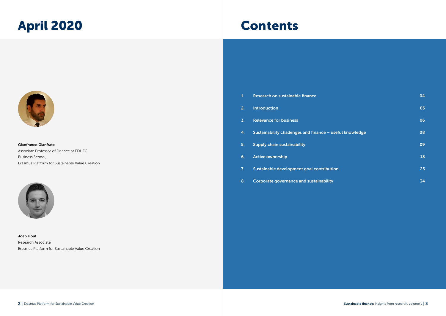## April 2020 Contents



Gianfranco Gianfrate Associate Professor of Finance at EDHEC Business School, Erasmus Platform for Sustainable Value Creation



Joep Houf Research Associate Erasmus Platform for Sustainable Value Creation

| 1. | Research on sustainable finance                          | 04 |
|----|----------------------------------------------------------|----|
| 2. | <b>Introduction</b>                                      | 05 |
| 3. | <b>Relevance for business</b>                            | 06 |
| 4. | Sustainability challenges and finance - useful knowledge | 08 |
| 5. | <b>Supply chain sustainability</b>                       | 09 |
| 6. | <b>Active ownership</b>                                  | 18 |
| 7. | Sustainable development goal contribution                | 25 |
| 8. | <b>Corporate governance and sustainability</b>           | 34 |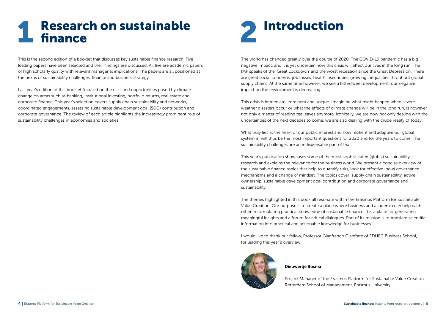### **Research on sustainable L** finance

This is the second edition of a booklet that discusses key sustainable finance research. Five leading papers have been selected and their findings are discussed. All five are academic papers of high scholarly quality with relevant managerial implications. The papers are all positioned at the nexus of sustainability challenges, finance and business strategy.

Last year's edition of this booklet focused on the risks and opportunities posed by climate change on areas such as banking, institutional investing, portfolio returns, real estate and corporate finance. This year's selection covers supply chain sustainability and networks, coordinated engagements, assessing sustainable development goal (SDG) contribution and corporate governance. The review of each article highlights the increasingly prominent role of sustainability challenges in economies and societies.



The world has changed greatly over the course of 2020. The COVID-19 pandemic has a big negative impact, and it is yet uncertain how this crisis will affect our lives in the long run. The IMF speaks of the 'Great Lockdown' and the worst recession since the Great Depression. There are great social concerns: job losses, health insecurities, growing inequalities throuhout global supply chains. At the same time however, we see a bittersweet development: our negative impact on the environment is decreasing.

This crisis is immediate, imminent and unique. Imagining what might happen when severe weather disasters occur or what the effects of climate change will be in the long run, is however not only a matter of reading tea leaves anymore. Ironically, we are now not only dealing with the uncertainties of the next decades to come, we are also dealing with the crude reality of today.

What truly lies at the heart of our public interest and how resilient and adaptive our global system is, will thus be the most important questions for 2020 and for the years to come. The sustainability challenges are an indispensable part of that.

This year's publication showcases some of the most sophisticated (global) sustainability research and explains the relevance for the business world. We present a concise overview of the sustainable finance topics that help to quantify risks, look for effective (new) governance mechanisms and a change of mindset. The topics cover: supply chain sustainability, active ownership, sustainable development goal contribution and corporate governance and sustainability.

The themes highlighted in this book all resonate within the Erasmus Platform for Sustainable Value Creation. Our purpose is to create a place where business and academia can help each other in formulating practical knowledge of sustainable finance. It is a place for generating meaningful insights and a forum for critical dialogues. Part of its mission is to translate scientific information into practical and actionable knowledge for businesses.

I would like to thank our fellow, Professor Gianfranco Gianfrate of EDHEC Business School, for leading this year's overview.



#### Dieuwertje Bosma

Project Manager of the Erasmus Platform for Sustainable Value Creation Rotterdam School of Management, Erasmus University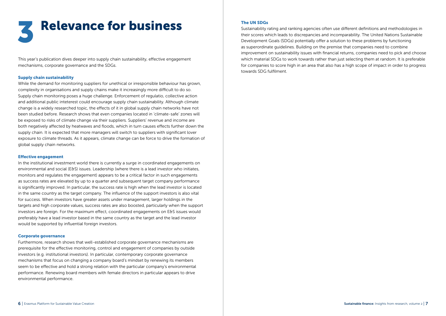

This year's publication dives deeper into supply chain sustainability, effective engagement mechanisms, corporate governance and the SDGs.

#### Supply chain sustainability

While the demand for monitoring suppliers for unethical or irresponsible behaviour has grown, complexity in organisations and supply chains make it increasingly more difficult to do so. Supply chain monitoring poses a huge challenge. Enforcement of regulatio, collective action and additional public inteterest could encourage supply chain sustainability. Although climate change is a widely researched topic, the effects of it in global supply chain networks have not been studied before. Research shows that even companies located in 'climate-safe' zones will be exposed to risks of climate change via their suppliers. Suppliers' revenue and income are both negatively affected by heatwaves and floods, which in turn causes effects further down the supply chain. It is expected that more managers will switch to suppliers with significant lover exposure to climate threads. As it appears, climate change can be force to drive the formation of global supply chain networks.

#### Effective engagement

In the institutional investment world there is currently a surge in coordinated engagements on environmental and social (E&S) issues. Leadership (where there is a lead investor who initiates, monitors and regulates the engagement) appears to be a critical factor in such engagements as success rates are elevated by up to a quarter and subsequent target company performance is significantly improved. In particular, the success rate is high when the lead investor is located in the same country as the target company. The influence of the support investors is also vital for success. When investors have greater assets under management, larger holdings in the targets and high corporate values, success rates are also boosted, particularly when the support investors are foreign. For the maximum effect, coordinated engagements on E&S issues would preferably have a lead investor based in the same country as the target and the lead investor would be supported by influential foreign investors.

#### Corporate governance

Furthermore, research shows that well-established corporate governance mechanisms are prerequisite for the effective monitoring, control and engagement of companies by outside investors (e.g. institutional investors). In particular, contemporary corporate governance mechanisms that focus on changing a company board's mindset by renewing its members seem to be effective and hold a strong relation with the particular company's environmental performance. Renewing board members with female directors in particular appears to drive environmental performance.

#### The UN SDGs

Sustainability rating and ranking agencies often use different definitions and methodologies in their scores which leads to discrepancies and incomparability. The United Nations Sustainable Development Goals (SDGs) potentially offer a solution to these problems by functioning as superordinate guidelines. Building on the premise that companies need to combine improvement on sustainability issues with financial returns, companies need to pick and choose which material SDGs to work towards rather than just selecting them at random. It is preferable for companies to score high in an area that also has a high scope of impact in order to progress towards SDG fulfilment.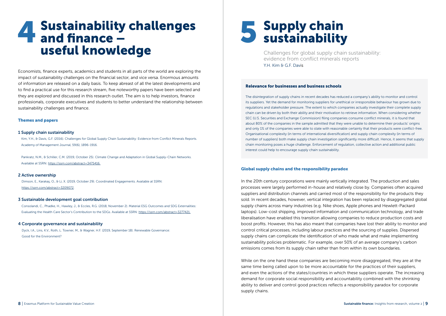## 4 Sustainability challenges and finance – useful knowledge

Economists, finance experts, academics and students in all parts of the world are exploring the impact of sustainability challenges on the financial sector, and vice versa. Enormous amounts of information are released on a daily basis. To keep abreast of all the latest developments and to find a practical use for this research stream, five noteworthy papers have been selected and they are explored and discussed in this research outlet. The aim is to help investors, finance professionals, corporate executives and students to better understand the relationship between sustainability challenges and finance.

#### Themes and papers

#### 1 Supply chain sustainability

Kim, Y.H., & Davis, G.F. (2016). Challenges for Global Supply Chain Sustainability: Evidence from Conflict Minerals Reports. Academy of Management Journal, 59(6), 1896-1916.

Pankratz, N.M., & Schiller, C.M. (2019, October 25). Climate Change and Adaptation in Global Supply-Chain Networks. Available at SSRN: https://ssrn.com/abstract=3475416.

#### 2 Active ownership

Dimson, E., Karakaş, O., & Li, X. (2019, October 29). Coordinated Engagements. Available at SSRN: https://ssrn.com/abstract=3209072.

#### 3 Sustainable development goal contribution

Consolandi, C., Phadke, H., Hawley, J., & Eccles, R.G. (2018, November 2). Material ESG Outcomes and SDG Externalities: Evaluating the Health Care Sector's Contribution to the SDGs. Available at SSRN: https://ssrn.com/abstract=3277421.

#### 4 Corporate governance and sustainability

Dyck, I.A., Lins, K.V., Roth, L. Towner, M., & Wagner, H.F. (2019, September 18). Renewable Governance: Good for the Environment?

# 5 Supply chain sustainability

Challenges for global supply chain sustainability: evidence from conflict minerals reports Y.H. Kim & G.F. Davis

#### Relevance for businesses and business schools

The disintegration of supply chains in recent decades has reduced a company's ability to monitor and control its suppliers. Yet the demand for monitoring suppliers for unethical or irresponsible behaviour has grown due to regulations and stakeholder pressure. The extent to which companies actually investigate their complete supply chain can be driven by both their ability and their motivation to retrieve information. When considering whether SEC (U.S. Securities and Exchange Commission) filing companies consume conflict minerals, it is found that about 80% of the companies in the sample admitted that they were unable to determine their products' origins and only 1% of the companies were able to state with reasonable certainty that their products were conflict-free. Organisational complexity (in terms of international diversification) and supply chain complexity (in terms of number of suppliers) both make supply chain investigation significantly more difficult. Hence, it seems that supply chain monitoring poses a huge challenge. Enforcement of regulation, collective action and additional public interest could help to encourage supply chain sustainability.

#### Global supply chains and the responsibility paradox

In the 20th century corporations were mainly vertically integrated. The production and sales processes were largely performed in-house and relatively close by. Companies often acquired suppliers and distribution channels and carried most of the responsibility for the products they sold. In recent decades, however, vertical integration has been replaced by disaggregated global supply chains across many industries (e.g. Nike shoes, Apple phones and Hewlett-Packard laptops). Low-cost shipping, improved information and communication technology, and trade liberalisation have enabled this transition allowing companies to reduce production costs and boost profits. However, this has also meant that companies have lost their ability to monitor and control critical processes, including labour practices and the sourcing of supplies. Dispersed supply chains can complicate the identification of who made what and make implementing sustainability policies problematic. For example, over 50% of an average company's carbon emissions comes from its supply chain rather than from within its own boundaries.

While on the one hand these companies are becoming more disaggregated, they are at the same time being called upon to be more accountable for the practices of their suppliers, and even the actions of the states/countries in which these suppliers operate. The increasing demand for corporate social responsibility and accountability combined with the shrinking ability to deliver and control good practices reflects a responsibility paradox for corporate supply chains.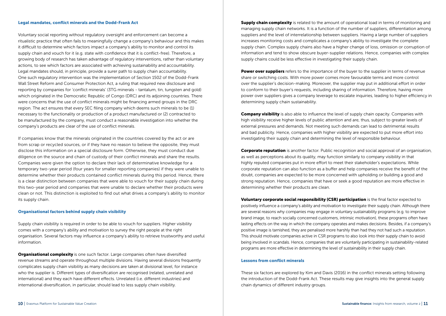#### Legal mandates, conflict minerals and the Dodd-Frank Act

Voluntary social reporting without regulatory oversight and enforcement can become a ritualistic practice that often fails to meaningfully change a company's behaviour and this makes it difficult to determine which factors impact a company's ability to monitor and control its supply chain and vouch for it (e.g. state with confidence that it is conflict-free). Therefore, a growing body of research has taken advantage of regulatory interventions, rather than voluntary actions, to see which factors are associated with achieving sustainability and accountability. Legal mandates should, in principle, provide a surer path to supply chain accountability. One such regulatory intervention was the implementation of Section 1502 of the Dodd-Frank Wall Street Reform and Consumer Protection Act, a ruling that required new disclosure and reporting by companies for 'conflict minerals' (3TG minerals - tantalum, tin, tungsten and gold) which originated in the Democratic Republic of Congo (DRC) and its adjoining countries. There were concerns that the use of conflict minerals might be financing armed groups in the DRC region. The act ensures that every SEC filing company which deems such minerals to be (1) necessary to the functionality or production of a product manufactured or (2) contracted to be manufactured by the company, must conduct a reasonable investigation into whether the company's products are clear of the use of conflict minerals.

If companies know that the minerals originated in the countries covered by the act or are from scrap or recycled sources, or if they have no reason to believe the opposite, they must disclose this information on a special disclosure form. Otherwise, they must conduct due diligence on the source and chain of custody of their conflict minerals and share the results. Companies were given the option to declare their lack of determinative knowledge for a temporary two-year period (four years for smaller reporting companies) if they were unable to determine whether their products contained conflict minerals during this period. Hence, there is a clear distinction between companies that were able to vouch for their supply chain during this two-year period and companies that were unable to declare whether their products were clean or not. This distinction is exploited to find out what drives a company's ability to monitor its supply chain.

#### Organisational factors behind supply chain visibility

Supply chain visibility is required in order to be able to vouch for suppliers. Higher visibility comes with a company's ability and motivation to survey the right people at the right organisation. Several factors may influence a company's ability to retrieve trustworthy and useful information.

**Organisational complexity** is one such factor. Large companies often have diversified revenue streams and operate throughout multiple divisions. Having several divisions frequently complicates supply chain visibility as many decisions are taken at divisional level, for instance who the supplier is. Different types of diversification are recognised (related, unrelated and international) and they each have different effects. Unrelated (i.e. different industries) and international diversification, in particular, should lead to less supply chain visibility.

**Supply chain complexity** is related to the amount of operational load in terms of monitoring and managing supply chain networks. It is a function of the number of suppliers, differentiation among suppliers and the level of interrelationship between suppliers. Having a large number of suppliers increases monitoring costs and complicates a company's ability to investigate the complete supply chain. Complex supply chains also have a higher change of loss, omission or corruption of information and tend to show obscure buyer-supplier relations. Hence, companies with complex supply chains could be less effective in investigating their supply chain.

**Power over suppliers** refers to the importance of the buyer to the supplier in terms of revenue share or switching costs. With more power comes more favourable terms and more control over the supplier's decision-making. Moreover, the supplier may put in additional effort in order to conform to their buyer's requests, including sharing of information. Therefore, having more power over suppliers gives a company leverage to escalate inquiries, leading to higher efficiency in determining supply chain sustainability.

**Company visibility** is also able to influence the level of supply chain opacity. Companies with high visibility receive higher levels of public attention and are, thus, subject to greater levels of external pressures and demands. Not meeting such demands can lead to detrimental results and bad publicity. Hence, companies with higher visibility are expected to put more effort into investigating their supply chain and determining the level of responsible behaviour.

**Corporate reputation** is another factor. Public recognition and social approval of an organisation, as well as perceptions about its quality, may function similarly to company visibility in that highly reputed companies put in more effort to meet their stakeholder's expectations. While corporate reputation can also function as a buffer and help companies receive the benefit of the doubt, companies are expected to be more concerned with upholding or building a good and strong reputation. Hence, companies that have or seek a good reputation are more effective in determining whether their products are clean.

Voluntary corporate social responsibility (CSR) participation is the final factor expected to positively influence a company's ability and motivation to investigate their supply chain. Although there are several reasons why companies may engage in voluntary sustainability programs (e.g. to improve brand image, to reach socially concerned customers, intrinsic motivation), these programs often have lasting effects on the way in which the company operates and makes decisions. Besides, if a company's positive image is tarnished, they are penalised more harshly than had they not had such a reputation. This should motivate companies active in CSR programs to also look into their supply chain to avoid being involved in scandals. Hence, companies that are voluntarily participating in sustainability-related programs are more effective in determining the level of sustainability in their supply chain.

#### Lessons from conflict minerals

These six factors are explored by Kim and Davis (2016) in the conflict minerals setting following the introduction of the Dodd-Frank Act. These results may give insights into the general supply chain dynamics of different industry groups.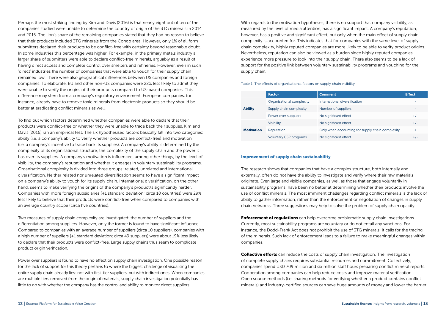Perhaps the most striking finding by Kim and Davis (2016) is that nearly eight out of ten of the companies studied were unable to determine the country of origin of the 3TG minerals in 2014 and 2015. The lion's share of the remaining companies stated that they had no reason to believe that their products included 3TG minerals from the Congo area. However, only 1% of all form submitters declared their products to be conflict-free with certainty beyond reasonable doubt. In some industries this percentage was higher. For example, in the primary metals industry a larger share of submitters were able to declare conflict-free minerals, arguably as a result of having direct access and complete control over smelters and refineries. However, even in such 'direct' industries the number of companies that were able to vouch for their supply chain remained low. There were also geographical differences between US companies and foreign companies. To elaborate, EU and other non-US companies were 22% less likely to admit they were unable to verify the origins of their products compared to US-based companies. This difference may stem from a company's regulatory environment. European companies, for instance, already have to remove toxic minerals from electronic products so they should be better at eradicating conflict minerals as well.

To find out which factors determined whether companies were able to declare that their products were conflict-free or whether they were unable to trace back their supplies, Kim and Davis (2016) ran an empirical test. The six hypothesised factors basically fall into two categories: ability (i.e. a company's ability to verify whether products are conflict-free) and motivation (i.e. a company's incentive to trace back its supplies). A company's ability is determined by the complexity of its organisational structure, the complexity of the supply chain and the power it has over its suppliers. A company's motivation is influenced, among other things, by the level of visibility, the company's reputation and whether it engages in voluntary sustainability programs. Organisational complexity is divided into three groups: related, unrelated and international diversification. Neither related nor unrelated diversification seems to have a significant impact on a company's ability to vouch for its supply chain. International diversification, on the other hand, seems to make verifying the origins of the company's product/s significantly harder. Companies with more foreign subsidiaries (+1 standard deviation; circa 18 countries) were 29% less likely to believe that their products were conflict-free when compared to companies with an average country scope (circa five countries).

Two measures of supply chain complexity are investigated: the number of suppliers and the differentiation among suppliers. However, only the former is found to have significant influence. Compared to companies with an average number of suppliers (circa 10 suppliers), companies with a high number of suppliers (+1 standard deviation; circa 49 suppliers) were about 19% less likely to declare that their products were conflict-free. Large supply chains thus seem to complicate product origin verification.

Power over suppliers is found to have no effect on supply chain investigation. One possible reason for the lack of support for this theory pertains to where the biggest challenge of visualising the entire supply chain already lies: not with first-tier suppliers, but with indirect ones. When companies are multiple tiers removed from the origin of materials, supply chain investigation potentially has little to do with whether the company has the control and ability to monitor direct suppliers.

With regards to the motivation hypotheses, there is no support that company visibility, as measured by the level of media attention, has a significant impact. A company's reputation, however, has a positive and significant effect, but only when the main effect of supply chain complexity is accounted for. This indicates that for companies with the same level of supply chain complexity, highly reputed companies are more likely to be able to verify product origins. Nevertheless, reputation can also be viewed as a burden since highly reputed companies experience more pressure to look into their supply chain. There also seems to be a lack of support for the positive link between voluntary sustainability programs and vouching for the supply chain.

Table 1: The effects of organisational factors on supply chain visibility

|                   | <b>Factor</b>                 | <b>Comment</b>                                   | <b>Effect</b> |
|-------------------|-------------------------------|--------------------------------------------------|---------------|
|                   | Organisational complexity     | International diversification                    |               |
| <b>Ability</b>    | Supply chain complexity       | Number of suppliers                              |               |
|                   | Power over suppliers          | No significant effect                            | $+/-$         |
|                   | <b>Visibility</b>             | No significant effect                            | $+/-$         |
| <b>Motivation</b> | Reputation                    | Only when accounting for supply chain complexity | $\ddot{}$     |
|                   | <b>Voluntary CSR programs</b> | No significant effect                            | $+/-$         |

#### Improvement of supply chain sustainability

The research shows that companies that have a complex structure, both internally and externally, often do not have the ability to investigate and verify where their raw materials originate. Even large and visible companies, as well as those that engage voluntarily in sustainability programs, have been no better at determining whether their products involve the use of conflict minerals. The most imminent challenges regarding conflict minerals is the lack of ability to gather information, rather than the enforcement or negotiation of changes in supply chain networks. Three suggestions may help to solve the problem of supply chain opacity.

**Enforcement of regulations** can help overcome problematic supply chain investigations. Currently, most sustainability programs are voluntary or do not entail any sanctions. For instance, the Dodd-Frank Act does not prohibit the use of 3TG minerals; it calls for the tracing of the minerals. Such lack of enforcement leads to a failure to make meaningful changes within companies.

**Collective efforts** can reduce the costs of supply chain investigation. The investigation of complete supply chains requires substantial resources and commitment. Collectively, companies spend USD 709 million and six million staff hours preparing conflict mineral reports. Cooperation among companies can help reduce costs and improve material verification. Open source methods (i.e. sharing methods for verifying whether a product contains conflict minerals) and industry-certified sources can save huge amounts of money and lower the barrier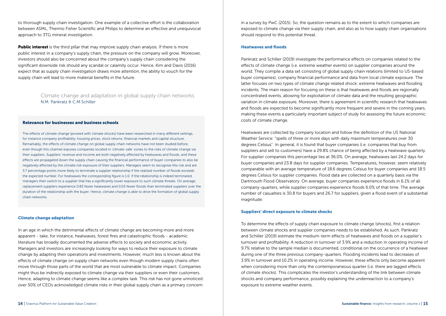to thorough supply chain investigation. One example of a collective effort is the collaboration between ASML, Thermo Fisher Scientific and Philips to determine an effective and unequivocal approach to 3TG mineral investigation.

**Public interest** is the third pillar that may improve supply chain analysis. If there is more public interest in a company's supply chain, the pressure on the company will grow. Moreover, investors should also be concerned about the company's supply chain considering the significant downside risk should any scandal or calamity occur. Hence, Kim and Davis (2016) expect that as supply chain investigation draws more attention, the ability to vouch for the supply chain will lead to more material benefits in the future.

#### Climate change and adaptation in global supply chain networks N.M. Pankratz & C.M Schiller

#### Relevance for businesses and business schools

The effects of climate change (proxied with climate shocks) have been researched in many different settings, for instance company profitability, housing prices, stock returns, financial markets and capital structure. Remarkably, the effects of climate change on global supply chain networks have not been studied before, even though this channel exposes companies located in 'climate-safe' zones to the risks of climate change via their suppliers. Suppliers' revenue and income are both negatively affected by heatwaves and floods, and these effects are propagated down the supply chain causing the financial performance of buyer companies to also be negatively affected by the climate risk exposure of their suppliers. Managers seem to recognise this risk and are 3.7 percentage points more likely to terminate a supplier relationship if the realised number of floods exceeds the expected number. For heatwaves the corresponding figure is 1.0. If the relationship is indeed terminated, managers then switch to a supplier that has a significantly lower exposure to such climate threats. On average, replacement suppliers experience 0.83 fewer heatwaves and 0.03 fewer floods than terminated suppliers over the duration of the relationship with the buyer. Hence, climate change is able to drive the formation of global supply chain networks.

#### Climate change adaptation

In an age in which the detrimental effects of climate change are becoming more and more apparent - take, for instance, heatwaves, forest fires and catastrophic floods - academic literature has broadly documented the adverse effects to society and economic activity. Managers and investors are increasingly looking for ways to reduce their exposure to climate change by adapting their operations and investments. However, much less is known about the effects of climate change on supply chain networks even though modern supply chains often move through those parts of the world that are most vulnerable to climate impact. Companies might thus be indirectly exposed to climate change via their suppliers or even their customers. Hence, adapting to climate change seems like a complex task. This risk has not gone unnoticed: over 50% of CEOs acknowledged climate risks in their global supply chain as a primary concern

in a survey by PwC (2015). So, the question remains as to the extent to which companies are exposed to climate change via their supply chain, and also as to how supply chain organisations should respond to this potential threat.

#### Heatwaves and floods

Pankratz and Schiller (2019) investigate the performance effects on companies related to the effects of climate change (i.e. extreme weather events) on supplier companies around the world. They compile a data set consisting of global supply chain relations (limited to US-based buyer companies), company financial performance and data from local climate exposure. The latter focuses on two types of climate change related shock: extreme heatwaves and flooding incidents. The main reason for focusing on these is that heatwaves and floods are regionally concentrated events, allowing for exploitation of climate data and the resulting geographic variation in climate exposure. Moreover, there is agreement in scientific research that heatwaves and floods are expected to become significantly more frequent and severe in the coming years, making these events a particularly important subject of study for assessing the future economic costs of climate change.

Heatwaves are collected by company location and follow the definition of the US National Weather Service: "spells of three or more days with daily maximum temperatures over 30 degrees Celsius". In general, it is found that buyer companies (i.e. companies that buy from suppliers and sell to customers) have a 29.8% chance of being affected by a heatwave quarterly. For supplier companies this percentage lies at 36.0%. On average, heatwaves last 24.2 days for buyer companies and 23.8 days for supplier companies. Temperatures, however, seem relatively comparable with an average temperature of 18.6 degrees Celsius for buyer companies and 18.5 degrees Celsius for supplier companies. Flood data are collected on a quarterly basis via the Dartmouth Flood Observatory. On average, buyer companies experience floods in 6.1% of all company-quarters, while supplier companies experience floods 6.0% of that time. The average number of casualties is 30.8 for buyers and 26.7 for suppliers, given a flood event of a substantial magnitude.

#### Suppliers' direct exposure to climate shocks

To determine the effects of supply chain exposure to climate change (shocks), first a relation between climate shocks and supplier companies needs to be established. As such, Pankratz and Schiller (2019) estimate the medium-term effects of heatwaves and floods on a supplier's turnover and profitability. A reduction in turnover of 3.9% and a reduction in operating income of 9.7% relative to the sample median is documented, conditional on the occurrence of a heatwave during one of the three previous company-quarters. Flooding incidents lead to decreases of 3.9% in turnover and 10.2% in operating income. However, these effects only become apparent when considering more than only the contemporaneous quarter (i.e. there are lagged effects of climate shocks). This complicates the investor's understanding of the link between climate shocks and company performance, possibly explaining the underreaction to a company's exposure to extreme weather events.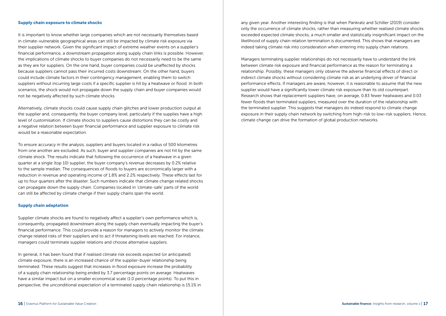#### Supply chain exposure to climate shocks

It is important to know whether large companies which are not necessarily themselves based in climate-vulnerable geographical areas can still be impacted by climate risk exposure via their supplier network. Given the significant impact of extreme weather events on a supplier's financial performance, a downstream propagation along supply chain links is possible. However, the implications of climate shocks to buyer companies do not necessarily need to be the same as they are for suppliers. On the one hand, buyer companies could be unaffected by shocks because suppliers cannot pass their incurred costs downstream. On the other hand, buyers could include climate factors in their contingency management, enabling them to switch suppliers without incurring large costs if a specific supplier is hit by a heatwave or flood. In both scenarios, the shock would not propagate down the supply chain and buyer companies would not be negatively affected by such climate shocks.

Alternatively, climate shocks could cause supply chain glitches and lower production output at the supplier and, consequently, the buyer company level, particularly if the supplies have a high level of customisation. If climate shocks to suppliers cause distortions they can be costly and a negative relation between buyer financial performance and supplier exposure to climate risk would be a reasonable expectation.

To ensure accuracy in the analysis, suppliers and buyers located in a radius of 500 kilometres from one another are excluded. As such, buyer and supplier companies are not hit by the same climate shock. The results indicate that following the occurrence of a heatwave in a given quarter at a single (top 10) supplier, the buyer company's revenue decreases by 0.2% relative to the sample median. The consequences of floods to buyers are economically larger with a reduction in revenue and operating income of 1.8% and 2.2% respectively. These effects last for up to four quarters after the disaster. Such numbers indicate that climate change related shocks can propagate down the supply chain. Companies located in 'climate-safe' parts of the world can still be affected by climate change if their supply chains span the world.

#### Supply chain adaptation

Supplier climate shocks are found to negatively affect a supplier's own performance which is, consequently, propagated downstream along the supply chain eventually impacting the buyer's financial performance. This could provide a reason for managers to actively monitor the climate change related risks of their suppliers and to act if threatening levels are reached. For instance, managers could terminate supplier relations and choose alternative suppliers.

In general, it has been found that if realised climate risk exceeds expected (or anticipated) climate exposure, there is an increased chance of the supplier-buyer relationship being terminated. These results suggest that increases in flood exposure increase the probability of a supply chain relationship being ended by 3.7 percentage points on average. Heatwaves have a similar impact but on a smaller economical scale (1.0 percentage points). To put this in perspective, the unconditional expectation of a terminated supply chain relationship is 15.1% in any given year. Another interesting finding is that when Pankratz and Schiller (2019) consider only the occurrence of climate shocks, rather than measuring whether realised climate shocks exceeded expected climate shocks, a much smaller and statistically insignificant impact on the likelihood of supply chain relation termination is documented. This shows that managers are indeed taking climate risk into consideration when entering into supply chain relations.

Managers terminating supplier relationships do not necessarily have to understand the link between climate risk exposure and financial performance as the reason for terminating a relationship. Possibly, these managers only observe the adverse financial effects of direct or indirect climate shocks without considering climate risk as an underlying driver of financial performance effects. If managers are aware, however, it is reasonable to assume that the new supplier would have a significantly lower climate risk exposure than its old counterpart. Research shows that replacement suppliers have, on average, 0.83 fewer heatwaves and 0.03 fewer floods than terminated suppliers, measured over the duration of the relationship with the terminated supplier. This suggests that managers do indeed respond to climate change exposure in their supply chain network by switching from high-risk to low-risk suppliers. Hence, climate change can drive the formation of global production networks.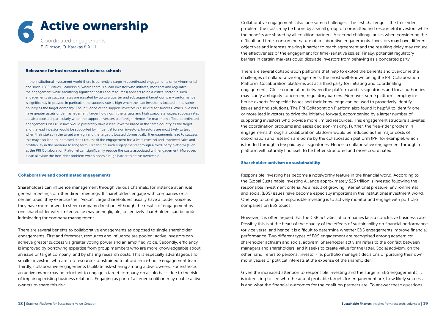

#### Relevance for businesses and business schools

In the institutional investment world there is currently a surge in coordinated engagements on environmental and social (E&S) issues. Leadership (where there is a lead investor who initiates, monitors and regulates the engagement while sacrificing significant costs and resources) appears to be a critical factor in such engagements as success rates are elevated by up to a quarter and subsequent target company performance is significantly improved. In particular, the success rate is high when the lead investor is located in the same country as the target company. The influence of the support investors is also vital for success. When investors have greater assets under management, larger holdings in the targets and high corporate values, success rates are also boosted, particularly when the support investors are foreign. Hence, for maximum effect, coordinated engagements on E&S issues would preferably have a lead investor based in the same country as the target and the lead investor would be supported by influential foreign investors. Investors are most likely to lead when their stakes in the target are high and the target is located domestically. If engagements lead to success, this may also lead to increased stock returns (if the engagement has a lead investor) and improved sales and profitability in the medium to long term. Organising such engagements through a third-party platform (such as the PRI Collaboration Platform) can significantly reduce the costs associated with engagement. Moreover, it can alleviate the free-rider problem which poses a huge barrier to active ownership.

#### Collaborative and coordinated engagements

Shareholders can influence management through various channels, for instance at annual general meetings or other direct meetings. If shareholders engage with companies on a certain topic, they exercise their 'voice'. Large shareholders usually have a louder voice as they have more power to steer company direction. Although the results of engagement by one shareholder with limited voice may be negligible, collectively shareholders can be quite intimidating for company management.

There are several benefits to collaborative engagements as opposed to single shareholder engagements. First and foremost, resources and influence are pooled; active investors can achieve greater success via greater voting power and an amplified voice. Secondly, efficiency is improved by borrowing expertise from group members who are more knowledgeable about an issue or target company, and by sharing research costs. This is especially advantageous for smaller investors who are too resource-constrained to afford an in-house engagement team. Thirdly, collaborative engagements facilitate risk-sharing among active owners. For instance, an active owner may be reluctant to engage a target company on a solo basis due to the risk of impairing existing business relations. Engaging as part of a larger coalition may enable active owners to share this risk.

Collaborative engagements also face some challenges. The first challenge is the free-rider problem: the costs may be borne by a small group of committed and resourceful investors while the benefits are shared by all coalition partners. A second challenge arises when considering the difficult and time-consuming nature of collaborative engagements. Investors may have different objectives and interests making it harder to reach agreement and the resulting delay may reduce the effectiveness of the engagement for time-sensitive issues. Finally, potential regulatory barriers in certain markets could dissuade investors from behaving as a concerted party.

There are several collaboration platforms that help to exploit the benefits and overcome the challenges of collaborative engagements, the most well-known being the PRI Collaboration Platform. Collaboration platforms act as a third party for initiating and coordinating engagements. Close cooperation between the platform and its signatories and local authorities may clarify ambiguity concerning regulatory barriers. Moreover, some platforms employ inhouse experts for specific issues and their knowledge can be used to proactively identify issues and find solutions. The PRI Collaboration Platform also found it helpful to identify one or more lead investors to drive the initiative forward, accompanied by a larger number of supporting investors who provide more limited resources. This engagement structure alleviates the coordination problems and eases decision-making. Further, the free-rider problem in engagements through a collaboration platform would be reduced as the major costs of coordination and research are borne by the collaboration platform (PRI for example), which is funded through a fee paid by all signatories. Hence, a collaborative engagement through a platform will naturally find itself to be better structured and more coordinated.

#### Shareholder activism on sustainability

Responsible investing has become a noteworthy feature in the financial world. According to the Global Sustainable Investing Alliance approximately \$23 trillion is invested following the responsible investment criteria. As a result of growing international pressure, environmental and social (E&S) issues have become especially important in the institutional investment world. One way to configure responsible investing is to actively monitor and engage with portfolio companies on E&S topics.

However, it is often argued that the CSR activities of companies lack a conclusive business case. Possibly this is at the heart of the opacity of the effects of sustainability on financial performance (or vice versa) and hence it is difficult to determine whether E&S engagements improve financial performance. Two different types of E&S engagement are recognised among academics: shareholder activism and social activism. Shareholder activism refers to the conflict between managers and shareholders, and it seeks to create value for the latter. Social activism, on the other hand, refers to personal investor (i.e. portfolio manager) decisions of pursuing their own moral values or political interests at the expense of the shareholder.

Given the increased attention to responsible investing and the surge in E&S engagements, it is interesting to see who the actual probable targets for engagement are, how likely success is and what the financial outcomes for the coalition partners are. To answer these questions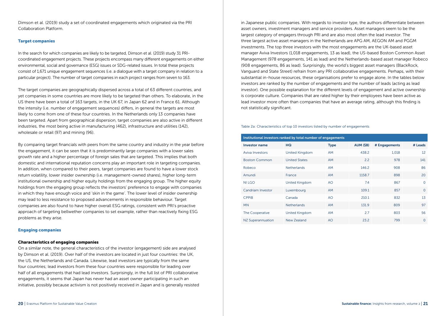Dimson et al. (2019) study a set of coordinated engagements which originated via the PRI Collaboration Platform.

#### **Target companies**

In the search for which companies are likely to be targeted, Dimson et al. (2019) study 31 PRIcoordinated engagement projects. These projects encompass many different engagements on either environmental, social and governance (ESG) issues or SDG-related issues. In total these projects consist of 1,671 unique engagement sequences (i.e. a dialogue with a target company in relation to a particular project). The number of target companies in each project ranges from seven to 163.

The target companies are geographically dispersed across a total of 63 different countries, and yet companies in some countries are more likely to be targeted than others. To elaborate, in the US there have been a total of 163 targets, in the UK 67, in Japan 62 and in France 61. Although the intensity (i.e. number of engagement sequences) differs, in general the targets are most likely to come from one of these four countries. In the Netherlands only 13 companies have been targeted. Apart from geographical dispersion, target companies are also active in different industries, the most being active in manufacturing (462), infrastructure and utilities (142), wholesale or retail (97) and mining (96).

By comparing target financials with peers from the same country and industry in the year before the engagement, it can be seen that it is predominantly large companies with a lower sales growth rate and a higher percentage of foreign sales that are targeted. This implies that both domestic and international reputation concerns play an important role in targeting companies. In addition, when compared to their peers, target companies are found to have a lower stock return volatility, lower insider ownership (i.e. management-owned shares), higher long-term institutional ownership and higher equity holdings from the engaging group. The higher equity holdings from the engaging group reflects the investors' preference to engage with companies in which they have enough voice and 'skin in the game'. The lower level of insider ownership may lead to less resistance to proposed advancements in responsible behaviour. Target companies are also found to have higher overall ESG ratings, consistent with PRI's proactive approach of targeting bellwether companies to set example, rather than reactively fixing ESG problems as they arise.

#### Engaging companies

#### Characteristics of engaging companies

On a similar note, the general characteristics of the investor (engagement) side are analysed by Dimson et al. (2019). Over half of the investors are located in just four countries: the UK, the US, the Netherlands and Canada. Likewise, lead investors are typically from the same four countries; lead investors from these four countries were responsible for leading over half of all engagements that had lead investors. Surprisingly, in the full list of PRI collaborative engagements, it seems that Japan has never had an asset owner participating in such an initiative, possibly because activism is not positively received in Japan and is generally resisted in Japanese public companies. With regards to investor type, the authors differentiate between asset owners, investment managers and service providers. Asset managers seem to be the largest category of engagers through PRI and are also most often the lead investor. The three largest active asset managers in the Netherlands are APG AM, AEGON AM and PGGM investments. The top three investors with the most engagements are the UK-based asset manager Aviva Investors (1,018 engagements, 13 as lead), the US-based Boston Common Asset Management (978 engagements, 141 as lead) and the Netherlands-based asset manager Robeco (908 engagements, 86 as lead). Surprisingly, the world's biggest asset managers (BlackRock, Vanguard and State Street) refrain from any PRI collaborative engagements. Perhaps, with their substantial in-house resources, these organisations prefer to engage alone. In the tables below investors are ranked by the number of engagements and the number of leads (acting as lead investor). One possible explanation for the different levels of engagement and active ownership is corporate culture. Companies that are rated higher by their employees have been active as lead investor more often than companies that have an average rating, although this finding is not statistically significant.

#### Table 2a: Characteristics of top 10 investors listed by number of engagements

| Institutional investors ranked by total number of engagements |                       |             |           |               |          |  |  |
|---------------------------------------------------------------|-----------------------|-------------|-----------|---------------|----------|--|--|
| <b>Investor name</b>                                          | HQ                    | <b>Type</b> | AUM (\$B) | # Engagements | # Leads  |  |  |
| Aviva Investors                                               | United Kingdom        | <b>AM</b>   | 438.2     | 1.018         | 12       |  |  |
| <b>Boston Common</b>                                          | <b>United States</b>  | <b>AM</b>   | 2.2       | 978           | 141      |  |  |
| Robeco                                                        | <b>Netherlands</b>    | <b>AM</b>   | 146.2     | 908           | 86       |  |  |
| Amundi                                                        | France                | <b>AM</b>   | 1158.7    | 898           | 20       |  |  |
| <b>NILGO</b>                                                  | <b>United Kingdom</b> | AO          | 7.4       | 867           | $\Omega$ |  |  |
| Candriam Investor                                             | Luxembourg            | <b>AM</b>   | 109.1     | 857           | $\Omega$ |  |  |
| <b>CPPIB</b>                                                  | Canada                | AO          | 210.1     | 832           | 13       |  |  |
| <b>MN</b>                                                     | <b>Netherlands</b>    | <b>AM</b>   | 131.9     | 809           | 97       |  |  |
| <b>The Cooperative</b>                                        | <b>United Kingdom</b> | <b>AM</b>   | 2.7       | 803           | 56       |  |  |
| NZ Superannuation                                             | New Zealand           | AO          | 23.2      | 799           | $\Omega$ |  |  |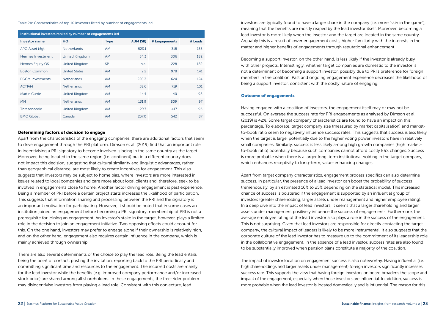Table 2b: Characteristics of top 10 investors listed by number of engagements led

| Institutional investors ranked by number of engagements led |                      |             |           |               |         |  |  |
|-------------------------------------------------------------|----------------------|-------------|-----------|---------------|---------|--|--|
| <b>Investor name</b>                                        | HQ                   | <b>Type</b> | AUM (\$B) | # Engagements | # Leads |  |  |
| APG Asset Mgt.                                              | <b>Netherlands</b>   | <b>AM</b>   | 523.1     | 318           | 185     |  |  |
| Hermes Investment                                           | United Kingdom       | <b>AM</b>   | 34.3      | 306           | 182     |  |  |
| Hermes Equity OS                                            | United Kingdom       | <b>SP</b>   | n.a.      | 228           | 182     |  |  |
| <b>Boston Common</b>                                        | <b>United States</b> | <b>AM</b>   | 2.2       | 978           | 141     |  |  |
| <b>PGGM Investments</b>                                     | <b>Netherlands</b>   | <b>AM</b>   | 220.3     | 624           | 124     |  |  |
| <b>ACTIAM</b>                                               | <b>Netherlands</b>   | <b>AM</b>   | 58.6      | 719           | 101     |  |  |
| Martin Currie                                               | United Kingdom       | <b>AM</b>   | 14.4      | 40            | 98      |  |  |
| <b>MN</b>                                                   | <b>Netherlands</b>   | <b>AM</b>   | 131.9     | 809           | 97      |  |  |
| Threadneedle                                                | United Kingdom       | <b>AM</b>   | 129.7     | 417           | 96      |  |  |
| <b>BMO Global</b>                                           | Canada               | <b>AM</b>   | 237.0     | 542           | 87      |  |  |

#### Determining factors of decision to engage

Apart from the characteristics of the engaging companies, there are additional factors that seem to drive engagement through the PRI platform. Dimson et al. (2019) find that an important role in incentivising a PRI signatory to become involved is being in the same country as the target. Moreover, being located in the same region (i.e. continent) but in a different country does not impact this decision, suggesting that cultural similarity and linguistic advantages, rather than geographical distance, are most likely to create incentives for engagement. This also suggests that investors may be subject to home bias, where investors are more interested in issues related to local companies and care more about local clients and, therefore, seek to be involved in engagements close to home. Another factor driving engagement is past experience. Being a member of PRI before a certain project starts increases the likelihood of participation. This suggests that information sharing and processing between the PRI and the signatory is an important motivation for participating. However, it should be noted that in some cases an institution joined an engagement before becoming a PRI signatory; membership of PRI is not a prerequisite for joining an engagement. An investor's stake in the target, however, plays a limited role in the decision to join an engagement initiative. Two opposing effects could account for this. On the one hand, investors may prefer to engage alone if their ownership is relatively high, and on the other hand, engagement also requires certain influence in the company, which is mainly achieved through ownership.

There are also several determinants of the choice to play the lead role. Being the lead entails being the point of contact, posting the invitation, reporting back to the PRI periodically and committing significant time and resources to the engagement. The incurred costs are mainly for the lead investor while the benefits (e.g. improved company performance and/or increased stock price) are shared among all shareholders. In these engagements, the free-rider problem may disincentivise investors from playing a lead role. Consistent with this conjecture, lead

investors are typically found to have a larger share in the company (i.e. more 'skin in the game'), meaning that the benefits are mostly reaped by the lead investor itself. Moreover, becoming a lead investor is more likely when the investor and the target are located in the same country. Arguably this is a result of lower engagement costs, higher familiarity with the interests in the matter and higher benefits of engagements through reputational enhancement.

Becoming a support investor, on the other hand, is less likely if the investor is already busy with other projects. Interestingly, whether target companies are domestic to the investor is not a determinant of becoming a support investor, possibly due to PRI's preference for foreign members in the coalition. Past and ongoing engagement experience decreases the likelihood of being a support investor, consistent with the costly nature of engaging.

#### Outcome of engagements

Having engaged with a coalition of investors, the engagement itself may or may not be successful. On average the success rate for PRI engagements as analysed by Dimson et al. (2019) is 42%. Some target company characteristics are found to have an impact on this percentage. To elaborate, target company size (measured by market capitalisation) and marketto-book ratio seem to negatively influence success rates. This suggests that success is less likely when the target is large, potentially due to the higher voting power investors have in relatively small companies. Similarly, success is less likely among high growth companies (high marketto-book ratio) potentially because such companies cannot afford costly E&S changes. Success is more probable when there is a larger long-term institutional holding in the target company, which enhances receptivity to long-term, value-enhancing changes.

Apart from target company characteristics, engagement process specifics can also determine success. In particular, the presence of a lead investor can boost the probability of success tremendously, by an estimated 16% to 25% depending on the statistical model. This increased chance of success is bolstered if the engagement is supported by an influential group of investors (greater shareholding, larger assets under management and higher employee rating). In a deep dive into the impact of lead investors, it seems that a larger shareholding and larger assets under management positively influence the success of engagements. Furthermore, the average employee rating of the lead investor also plays a role in the success of the engagement. This is not surprising. Given that lead investors are responsible for directly contacting the target company, the cultural impact of leaders is likely to be more instrumental. It also suggests that the corporate culture of the lead investor has to measure up to the commitment of its leadership role in the collaborative engagement. In the absence of a lead investor, success rates are also found to be substantially improved when pension plans constitute a majority of the coalition.

The impact of investor location on engagement success is also noteworthy. Having influential (i.e. high shareholdings and larger assets under management) foreign investors significantly increases success rate. This supports the view that having foreign investors on board broadens the scope and impact of the engagement, especially when those investors are influential. In addition, success is more probable when the lead investor is located domestically and is influential. The reason for this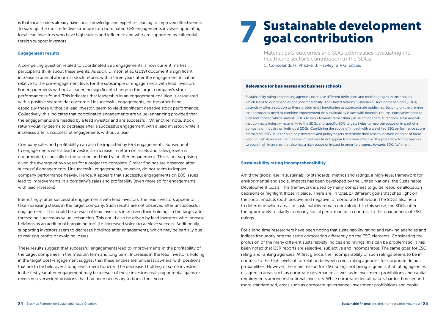is that local leaders already have local knowledge and expertise, leading to improved effectiveness. To sum up, the most effective structure for coordinated E&S engagements involves appointing local lead investors who have high stakes and influence and who are supported by influential foreign support investors.

#### Engagement results

A compelling question related to coordinated E&S engagements is how current market participants think about these events. As such, Dimson et al. (2019) document a significant increase in annual abnormal stock returns within three years after the engagement initiation, relative to the pre-engagement level for the subsample of engagements with lead investors. For engagements without a leader, no significant change in the target company's stock performance is found. This indicates that leadership in an engagement coalition is associated with a positive shareholder outcome. Unsuccessful engagements, on the other hand, especially those without a lead investor, seem to yield significant negative stock performance. Collectively, this indicates that coordinated engagements are value-enhancing provided that the engagements are headed by a lead investor and are successful. On another note, stock return volatility seems to decrease after a successful engagement with a lead investor, while it increases after unsuccessful engagements without a lead.

Company sales and profitability can also be impacted by E&S engagements. Subsequent to engagements with a lead investor, an increase in return on assets and sales growth is documented, especially in the second and third year after engagement. This is not surprising given the average of two years for a project to complete. Similar findings are observed after successful engagements. Unsuccessful engagements, however, do not seem to impact company performance heavily. Hence, it appears that successful engagements on E&S issues lead to improvements in a company's sales and profitability (even more so for engagements with lead investors).

Interestingly, after successful engagements with lead investors, the lead investors appear to take increasing stakes in the target company. Such results are not observed after unsuccessful engagements. This could be a result of lead investors increasing their holdings in the target after foreseeing success as value-enhancing. This could also be driven by lead investors who increase holdings as an additional bargaining tool (i.e. increased voice) to achieve success. Additionally, supporting investors seem to decrease holdings after engagements, which may be partially due to realising profits or avoiding losses.

These results suggest that successful engagements lead to improvements in the profitability of the target companies in the medium term and long term. Increases in the lead investor's holding in the target post-engagement suggest that these entities are 'universal owners' with positions that are to be held over a long investment horizon. The decreased holding of some investors in the first year after engagement may be a result of these investors realising potential gains or reversing overweight positions that had been necessary to boost their voice.

## **Sustainable development** goal contribution

 Material ESG outcomes and SDG externalities: evaluating the healthcare sector's contribution to the SDGs C. Consolandi, H. Phadke, J. Hawley, & R.G. Eccles

#### Relevance for businesses and business schools

Sustainability rating and ranking agencies often use different definitions and methodologies in their scores which leads to discrepancies and incomparability. The United Nations Sustainable Development Goals (SDGs) potentially offer a solution to these problems by functioning as superordinate guidelines. Building on the premise that companies need to combine improvement on sustainability issues with financial returns, companies need to pick and choose which material SDGs to work towards rather than just selecting them at random. A framework that connects industry materiality to the SDGs and specific SDG targets helps to map the scope of impact of a company or industry on individual SDGs. Combining the scope of impact with a weighted ESG performance score on material ESG issues should help investors and policymakers determine their asset allocation or point of focus. Scoring high in an area that has low impact would not appear to be very effective. It is preferable for companies to score high in an area that also has a high scope of impact in order to progress towards SDG fulfilment.

#### Sustainability rating incomprehensibility

Amid the global rise in sustainability standards, metrics and ratings, a high-level framework for environmental and social impacts has been developed by the United Nations: the Sustainable Development Goals. This framework is used by many companies to guide resource allocation decisions or highlight those in place. There are, in total, 17 different goals that shed light on the social impacts (both positive and negative) of corporate behaviour. The SDGs also help to determine which areas of sustainability remain unexploited. In this sense, the SDGs offer the opportunity to clarify company social performance, in contrast to the opaqueness of ESG ratings.

For a long time researchers have been noting that sustainability rating and ranking agencies and indices frequently rate the same corporation differently on the ESG elements. Considering the profusion of the many different sustainability indices and ratings, this can be problematic. It has been noted that CSR reports are selective, subjective and incomparable. The same goes for ESG rating and ranking agencies. At first glance, the incomparability of such ratings seems to be in contrast to the high levels of correlation between credit rating agencies for corporate default probabilities. However, the main reason for ESG ratings not being aligned is that rating agencies disagree in areas such as corporate governance as well as in investment prohibitions and capital requirements among institutional investors. While corporate default data is harder, timelier and more standardised, areas such as corporate governance, investment prohibitions and capital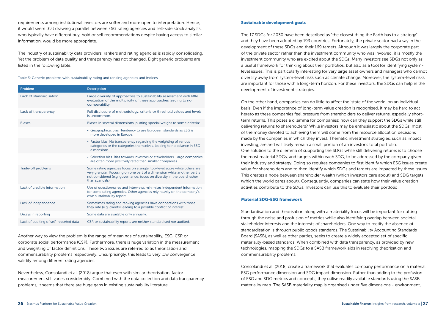requirements among institutional investors are softer and more open to interpretation. Hence, it would seem that drawing a parallel between ESG rating agencies and sell-side stock analysts, who typically have different buy, hold or sell recommendations despite having access to similar information, would be more appropriate.

The industry of sustainability data providers, rankers and rating agencies is rapidly consolidating. Yet the problem of data quality and transparency has not changed. Eight generic problems are listed in the following table.

Table 3: Generic problems with sustainability rating and ranking agencies and indices

| Problem                                | <b>Description</b>                                                                                                                                                                                                                                 |
|----------------------------------------|----------------------------------------------------------------------------------------------------------------------------------------------------------------------------------------------------------------------------------------------------|
| Lack of standardisation                | Large diversity of approaches to sustainability assessment with little<br>evaluation of the multiplicity of these approaches leading to no<br>comparability.                                                                                       |
| Lack of transparency                   | Full disclosure of methodology, criteria or threshold values and levels<br>is uncommon.                                                                                                                                                            |
| <b>Biases</b>                          | Biases in several dimensions, putting special weight to some criteria:                                                                                                                                                                             |
|                                        | • Geographical bias. Tendency to use European standards as ESG is<br>more developed in Europe.                                                                                                                                                     |
|                                        | • Factor bias. No transparency regarding the weighting of various<br>categories or the categories themselves, leading to no balance in ESG<br>dimensions                                                                                           |
|                                        | • Selection bias. Bias towards investors or stakeholders. Large companies<br>are often more positively rated than smaller companies.                                                                                                               |
| Trade-off problems                     | Some rating agencies focus on a single, top-level score while others are<br>very granular. Focusing on one part of a dimension while another part is<br>not considered (e.g. governance: focus on diversity in the board rather<br>than scandals). |
| Lack of credible information           | Use of questionnaires and interviews minimises independent information<br>for some rating agencies. Other agencies rely heavily on the company's<br>own sustainability report.                                                                     |
| Lack of independence                   | Sometimes rating and ranking agencies have connections with those<br>they rate (e.g. clients) leading to a possible conflict of interest.                                                                                                          |
| Delays in reporting                    | Some data are available only annually.                                                                                                                                                                                                             |
| Lack of auditing of self-reported data | CSR or sustainability reports are neither standardised nor audited.                                                                                                                                                                                |

Another way to view the problem is the range of meanings of sustainability, ESG, CSR or corporate social performance (CSP). Furthermore, there is huge variation in the measurement and weighting of factor definitions. These two issues are referred to as theorisation and commensurability problems respectively. Unsurprisingly, this leads to very low convergence validity among different rating agencies.

Nevertheless, Consolandi et al. (2018) argue that even with similar theorisation, factor measurement still varies considerably. Combined with the data collection and data transparency problems, it seems that there are huge gaps in existing sustainability literature.

#### Sustainable development goals

The 17 SDGs for 2030 have been described as "the closest thing the Earth has to a strategy" and they have been adopted by 193 countries. Fortunately, the private sector had a say in the development of these SDGs and their 169 targets. Although it was largely the corporate part of the private sector rather than the investment community who was involved, it is mostly the investment community who are excited about the SDGs. Many investors see SDGs not only as a useful framework for thinking about their portfolios, but also as a tool for identifying systemlevel issues. This is particularly interesting for very large asset owners and managers who cannot diversify away from system-level risks such as climate change. Moreover, the system-level risks are important for those with a long-term horizon. For these investors, the SDGs can help in the development of investment strategies.

On the other hand, companies can do little to affect the 'state of the world' on an individual basis. Even if the importance of long-term value creation is recognised, it may be hard to act hereto as these companies feel pressure from shareholders to deliver returns, especially shortterm returns. This poses a dilemma for companies: how can they support the SDGs while still delivering returns to shareholders? While investors may be enthusiastic about the SDGs, most of the money devoted to achieving them will come from the resource allocation decisions made by the companies in which they invest. Thematic investment strategies, such as impact investing, are and will likely remain a small portion of an investor's total portfolio. One solution to the dilemma of supporting the SDGs while still delivering returns is to choose the most material SDGs, and targets within each SDG, to be addressed by the company given their industry and strategy. Doing so requires companies to first identify which ESG issues create value for shareholders and to then identify which SDGs and targets are impacted by these issues. This creates a node between shareholder wealth (which investors care about) and SDG targets (which the world cares about). Consequently, companies can state how their value creation activities contribute to the SDGs. Investors can use this to evaluate their portfolio.

#### Material SDG-ESG framework

Standardisation and theorisation along with a materiality focus will be important for cutting through the noise and profusion of metrics while also identifying overlap between societal stakeholder interests and the interests of shareholders. One way to rectify the absence of standardisation is through public goods standards. The Sustainability Accounting Standards Board (SASB), as well as other parties, seeks to create a widely accepted set of specific materiality-based standards. When combined with data transparency, as provided by new technologies, mapping the SDGs to a SASB framework aids in resolving theorisation and commensurability problems.

Consolandi et al. (2018) create a framework that evaluates company performance on a material ESG performance dimension and SDG impact dimension. Rather than adding to the profusion of ESG and SDG metrics and concepts, they utilise readily available standards using the SASB materiality map. The SASB materiality map is organised under five dimensions - environment,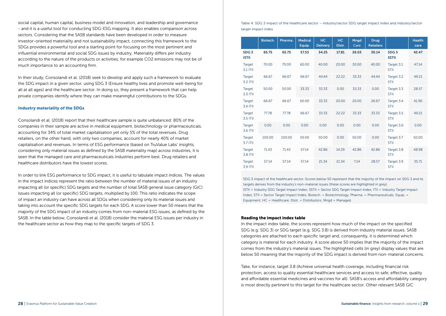social capital, human capital, business model and innovation, and leadership and governance - and it is a useful tool for conducting SDG-ESG mapping. It also enables comparison across sectors. Considering that the SASB standards have been developed in order to measure investor-oriented materiality and not sustainability impact, connecting this framework to the SDGs provides a powerful tool and a starting point for focusing on the most pertinent and influential environmental and social SDG issues by industry. Materiality differs per industry according to the nature of the products or activities, for example CO2 emissions may not be of much importance to an accounting firm.

In their study, Consolandi et al. (2018) seek to develop and apply such a framework to evaluate the SDG impact in a given sector, using SDG 3 (Ensure healthy lives and promote well-being for all at all ages) and the healthcare sector. In doing so, they present a framework that can help private companies identify where they can make meaningful contributions to the SDGs.

#### Industry materiality of the SDGs

Consolandi et al. (2018) report that their healthcare sample is quite unbalanced: 80% of the companies in their sample are active in medical equipment, biotechnology or pharmaceuticals, accounting for 34% of total market capitalisation yet only 5% of the total revenues. Drug retailers, on the other hand, with only two companies, account for nearly 40% of market capitalisation and revenues. In terms of ESG performance (based on TruValue Labs' insights, considering only material issues as defined by the SASB materiality map) across industries, it is seen that the managed care and pharmaceuticals industries perform best. Drug retailers and healthcare distributors have the lowest scores.

In order to link ESG performance to SDG impact, it is useful to tabulate impact indices. The values in the impact indices represent the ratio between the number of material issues of an industry impacting all (or specific) SDG targets and the number of total SASB general issue category (GIC) issues impacting all (or specific) SDG targets, multiplied by 100. This ratio indicates the scope of impact an industry can have across all SDGs when considering only its material issues and taking into account the specific SDG targets for each SDG. A score lower than 50 means that the majority of the SDG impact of an industry comes from non-material ESG issues, as defined by the SASB. In the table below, Consolandi et al. (2018) consider the material ESG issues per industry in the healthcare sector as how they map to the specific targets of SDG 3.

Table 4: SDG 3 impact of the healthcare sector – industry/sector SDG target impact index and industry/sector target impact index

|                                  | Biotech. | Pharma. | <b>Medical</b><br>Equip. | HC.<br><b>Delivery</b> | HC.<br>Distr. | <b>Mngd</b><br>Care | <b>Drug</b><br><b>Retailers</b> |                                  | <b>Health</b><br>care |
|----------------------------------|----------|---------|--------------------------|------------------------|---------------|---------------------|---------------------------------|----------------------------------|-----------------------|
| SDG <sub>3</sub><br><b>ISTII</b> | 65.75    | 65.75   | 57.53                    | 34.25                  | 17.81         | 26.03               | 30.14                           | SDG <sub>3</sub><br><b>SSTII</b> | 42.47                 |
| Target<br>3.1 ITII               | 70.00    | 70.00   | 60.00                    | 40.00                  | 20.00         | 30.00               | 40.00                           | Target 3.1<br><b>STII</b>        | 47.14                 |
| Target<br>3.2 ITII               | 66.67    | 66.67   | 66.67                    | 44.44                  | 22.22         | 33.33               | 44.44                           | Target 3.2<br><b>STII</b>        | 49.21                 |
| Target<br>3.3 ITII               | 50.00    | 50.00   | 33.33                    | 33.33                  | 0.00          | 33.33               | 0.00                            | Target 3.3<br><b>STII</b>        | 28.57                 |
| Target<br>3.4 ITII               | 66.67    | 66.67   | 60.00                    | 33.33                  | 20.00         | 20.00               | 26.67                           | Target 3.4<br><b>STII</b>        | 41.90                 |
| Target<br>3.5 ITII               | 77.78    | 77.78   | 66.67                    | 33.33                  | 22.22         | 33.33               | 33.33                           | Target 3.5<br><b>STII</b>        | 49.21                 |
| Target<br>3.6 ITII               | 0.00     | 0.00    | 0.00                     | 0.00                   | 0.00          | 0.00                | 0.00                            | Target 3.6<br><b>STII</b>        | 0.00                  |
| Target<br>3.7 ITII               | 100.00   | 100.00  | 50.00                    | 50.00                  | 0.00          | 50.00               | 0.00                            | Target 3.7<br><b>STII</b>        | 50.00                 |
| <b>Target</b><br>3.8 ITII        | 71.43    | 71.43   | 57.14                    | 42.86                  | 14.29         | 42.86               | 42.86                           | Target 3.8<br><b>STII</b>        | 48.98                 |
| Target<br>3.9 ITII               | 57.14    | 57.14   | 57.14                    | 21.34                  | 21.34         | 7.14                | 28.57                           | Target 3.9<br><b>STII</b>        | 35.71                 |

SDG 3 impact of the healthcare sector. Scores below 50 represent that the majority of the impact on SDG 3 and its targets derives from the industry's non-material issues (these scores are highlighted in grey). ISTII = Industry SDG Target Impact Index; SSTII = Sector SDG Target Impact Index; ITII = Industry Target Impact Index; STII = Sector Target Impact Index; Biotech. = Biotechnology; Pharma. = Pharmaceuticals; Equip. = Equipment; HC = Healthcare; Distr. = Distributors; Mngd = Managed.

#### Reading the impact index table

In the impact index table, the scores represent how much of the impact on the specified SDG (e.g. SDG 3) or SDG target (e.g. SDG 3.8) is derived from industry material issues. SASB categories are attached to each specific target and, consequently, it is determined which category is material for each industry. A score above 50 implies that the majority of the impact comes from the industry's material issues. The highlighted cells (in grey) display values that are below 50 meaning that the majority of the SDG impact is derived from non-material concerns.

Take, for instance, target 3.8 (Achieve universal health coverage, including financial risk protection, access to quality essential healthcare services and access to safe, effective, quality and affordable essential medicines and vaccines for all). SASB's access and affordability category is most directly pertinent to this target for the healthcare sector. Other relevant SASB GIC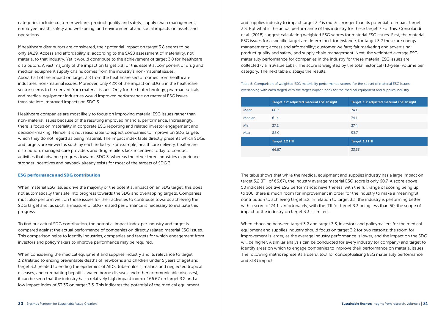categories include customer welfare; product quality and safety; supply chain management; employee health, safety and well-being; and environmental and social impacts on assets and operations.

If healthcare distributors are considered, their potential impact on target 3.8 seems to be only 14.29. Access and affordability is, according to the SASB assessment of materiality, not material to that industry. Yet it would contribute to the achievement of target 3.8 for healthcare distributors. A vast majority of the impact on target 3.8 for this essential component of drug and medical equipment supply chains comes from the industry's non-material issues. About half of the impact on target 3.8 from the healthcare sector comes from healthcare industries' non-material issues. Moreover, only 42% of the impact on SDG 3 in the healthcare sector seems to be derived from material issues. Only for the biotechnology, pharmaceuticals and medical equipment industries would improved performance on material ESG issues translate into improved impacts on SDG 3.

Healthcare companies are most likely to focus on improving material ESG issues rather than non-material issues because of the resulting improved financial performance. Increasingly, there is focus on materiality in corporate ESG reporting and related investor engagement and decision-making. Hence, it is not reasonable to expect companies to improve on SDG targets which they do not regard as being material. The impact index table directly presents which SDGs and targets are viewed as such by each industry. For example, healthcare delivery, healthcare distribution, managed care providers and drug retailers lack incentives today to conduct activities that advance progress towards SDG 3, whereas the other three industries experience stronger incentives and payback already exists for most of the targets of SDG 3.

#### ESG performance and SDG contribution

When material ESG issues drive the majority of the potential impact on an SDG target, this does not automatically translate into progress towards the SDG and overlapping targets. Companies must also perform well on those issues for their activities to contribute towards achieving the SDG target and, as such, a measure of SDG-related performance is necessary to evaluate this progress.

To find out actual SDG contribution, the potential impact index per industry and target is compared against the actual performance of companies on directly related material ESG issues. This comparison helps to identify industries, companies and targets for which engagement from investors and policymakers to improve performance may be required.

When considering the medical equipment and supplies industry and its relevance to target 3.2 (related to ending preventable deaths of newborns and children under 5 years of age) and target 3.3 (related to ending the epidemics of AIDS, tuberculosis, malaria and neglected tropical diseases, and combatting hepatitis, water-borne diseases and other communicable diseases), it can be seen that the industry has a relatively high impact index of 66.67 on target 3.2 and a low impact index of 33.33 on target 3.3. This indicates the potential of the medical equipment

and supplies industry to impact target 3.2 is much stronger than its potential to impact target 3.3. But what is the actual performance of this industry for these targets? For this, Consolandi et al. (2018) suggest calculating weighted ESG scores for material ESG issues. First, the material ESG issues for a specific target are determined, for instance, for target 3.2 these are energy management; access and affordability; customer welfare; fair marketing and advertising; product quality and safety; and supply chain management. Next, the weighted average ESG materiality performance for companies in the industry for these material ESG issues are collected (via TruValue Labs). The score is weighted by the total historical (10-year) volume per category. The next table displays the results.

Table 5: Comparison of weighted ESG materiality performance scores (for the subset of material ESG issues overlapping with each target) with the target impact index for the medical equipment and supplies industry

|            | Target 3.2: adjusted material ESG Insight | Target 3.3: adjusted material ESG Insight |
|------------|-------------------------------------------|-------------------------------------------|
| Mean       | 60.7                                      | 74.1                                      |
| Median     | 61.4                                      | 74.1                                      |
| <b>Min</b> | 37.2                                      | 37.4                                      |
| Max        | 88.0                                      | 93.7                                      |
|            | Target 3.2 ITII                           | Target 3.3 ITII                           |
|            | 66.67                                     | 33.33                                     |

The table shows that while the medical equipment and supplies industry has a large impact on target 3.2 (ITII of 66.67), the industry average material ESG score is only 60.7. A score above 50 indicates positive ESG performance; nevertheless, with the full range of scoring being up to 100, there is much room for improvement in order for the industry to make a meaningful contribution to achieving target 3.2. In relation to target 3.3, the industry is performing better with a score of 74.1. Unfortunately, with the ITII for target 3.3 being less than 50, the scope of impact of the industry on target 3.3 is limited.

When choosing between target 3.2 and target 3.3, investors and policymakers for the medical equipment and supplies industry should focus on target 3.2 for two reasons: the room for improvement is larger, as the average industry performance is lower, and the impact on the SDG will be higher. A similar analysis can be conducted for every industry (or company) and target to identify areas on which to engage companies to improve their performance on material issues. The following matrix represents a useful tool for conceptualising ESG materiality performance and SDG impact.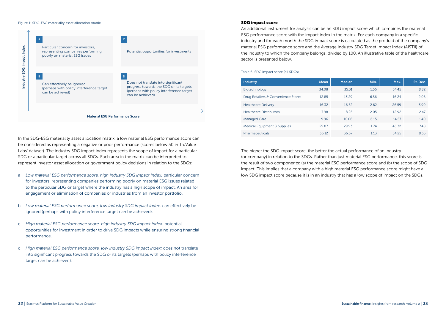#### Figure 1: SDG-ESG materiality asset allocation matrix



In the SDG-ESG materiality asset allocation matrix, a low material ESG performance score can be considered as representing a negative or poor performance (scores below 50 in TruValue Labs' dataset). The industry SDG impact index represents the scope of impact for a particular SDG or a particular target across all SDGs. Each area in the matrix can be interpreted to represent investor asset allocation or government policy decisions in relation to the SDGs:

- a *Low material ESG performance score, high industry SDG impact index:* particular concern for investors, representing companies performing poorly on material ESG issues related to the particular SDG or target where the industry has a high scope of impact. An area for engagement or elimination of companies or industries from an investor portfolio.
- b *Low material ESG performance score, low industry SDG impact index:* can effectively be ignored (perhaps with policy interference target can be achieved).
- c *High material ESG performance score, high industry SDG impact index:* potential opportunities for investment in order to drive SDG impacts while ensuring strong financial performance.
- d *High material ESG performance score, low industry SDG impact index:* does not translate into significant progress towards the SDG or its targets (perhaps with policy interference target can be achieved).

#### SDG impact score

An additional instrument for analysis can be an SDG impact score which combines the material ESG performance score with the impact index in the matrix. For each company in a specific industry and for each month the SDG impact score is calculated as the product of the company's material ESG performance score and the Average Industry SDG Target Impact Index (AISTII) of the industry to which the company belongs, divided by 100. An illustrative table of the healthcare sector is presented below.

Table 6: SDG impact score (all SDGs)

| <b>Industry</b>                     | Mean  | <b>Median</b> | Min. | Max.  | St. Dev. |
|-------------------------------------|-------|---------------|------|-------|----------|
| Biotechnology                       | 34.08 | 35.31         | 1.56 | 54.45 | 8.82     |
| Drug Retailers & Convenience Stores | 12.85 | 13.29         | 6.56 | 16.24 | 2.06     |
| <b>Healthcare Delivery</b>          | 16.32 | 16.52         | 2.62 | 26.59 | 3.90     |
| <b>Healthcare Distributors</b>      | 7.98  | 8.25          | 2.05 | 12.92 | 2.47     |
| <b>Managed Care</b>                 | 9.96  | 10.06         | 6.15 | 14.57 | 1.40     |
| Medical Equipment & Supplies        | 29.07 | 29.93         | 1.74 | 45.32 | 7.48     |
| Pharmaceuticals                     | 36.12 | 36.67         | 1.13 | 54.25 | 8.55     |

The higher the SDG impact score, the better the actual performance of an industry (or company) in relation to the SDGs. Rather than just material ESG performance, this score is the result of two components: (a) the material ESG performance score and (b) the scope of SDG impact. This implies that a company with a high material ESG performance score might have a low SDG impact score because it is in an industry that has a low scope of impact on the SDGs.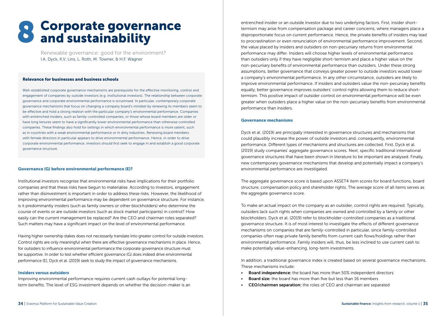# 8 Corporate governance<br>8 and sustainability

Renewable governance: good for the environment? I.A. Dyck, K.V. Lins, L. Roth, M. Towner, & H.F. Wagner

#### Relevance for businesses and business schools

Well-established corporate governance mechanisms are prerequisite for the effective monitoring, control and engagement of companies by outside investors (e.g. institutional investors). The relationship between corporate governance and corporate environmental performance is scrutinised. In particular, contemporary corporate governance mechanisms that focus on changing a company board's mindset by renewing its members seem to be effective and hold a strong relation with the particular company's environmental performance. Companies with entrenched insiders, such as family-controlled companies, or those whose board members are older or have long tenures seem to have a significantly lower environmental performance than otherwise controlled companies. These findings also hold for settings in which environmental performance is more salient, such as in countries with a weak environmental performance or in dirty industries. Renewing board members with female directors in particular appears to drive environmental performance. Hence, in order to drive corporate environmental performance, investors should first seek to engage in and establish a good corporate governance structure.

#### Governance (G) before environmental performance (E)?

Institutional investors recognise that environmental risks have implications for their portfolio companies and that these risks have begun to materialise. According to investors, engagement rather than disinvestment is important in order to address these risks. However, the likelihood of improving environmental performance may be dependent on governance structure. For instance, is it predominantly insiders (such as family owners or other blockholders) who determine the course of events or are outside investors (such as stock market participants) in control? How easily can the current management be replaced? Are the CEO and chairman roles separated? Such matters may have a significant impact on the level of environmental performance.

Having higher ownership stakes does not necessarily translate into greater control for outside investors. Control rights are only meaningful when there are effective governance mechanisms in place. Hence, for outsiders to influence environmental performance the corporate governance structure must be supportive. In order to test whether efficient governance (G) does indeed drive environmental performance (E), Dyck et al. (2019) seek to study the impact of governance mechanisms.

#### Insiders versus outsiders

Improving environmental performance requires current cash outlays for potential longterm benefits. The level of ESG investment depends on whether the decision-maker is an entrenched insider or an outside investor due to two underlying factors. First, insider shorttermism may arise from compensation package and career concerns, where managers place a disproportionate focus on current performance. Hence, the private benefits of insiders may lead to procrastination or even renunciation of environmental performance improvement. Second, the value placed by insiders and outsiders on non-pecuniary returns from environmental performance may differ. Insiders will choose higher levels of environmental performance than outsiders only if they have negligible short-termism and place a higher value on the non-pecuniary benefits of environmental performance than outsiders. Under these strong assumptions, better governance that conveys greater power to outside investors would lower a company's environmental performance. In any other circumstance, outsiders are likely to improve environmental performance. If insiders and outsiders value the non-pecuniary benefits equally, better governance improves outsiders' control rights allowing them to reduce shorttermism. This positive impact of outsider control on environmental performance will be even greater when outsiders place a higher value on the non-pecuniary benefits from environmental performance than insiders.

#### Governance mechanisms

Dyck et al. (2019) are principally interested in governance structures and mechanisms that could plausibly increase the power of outside investors and, consequently, environmental performance. Different types of mechanisms and structures are collected. First, Dyck et al. (2019) study companies' aggregate governance scores. Next, specific traditional international governance structures that have been shown in literature to be important are analysed. Finally, new contemporary governance mechanisms that develop and potentially impact a company's environmental performance are investigated.

The aggregate governance score is based upon ASSET4 item scores for board functions, board structure, compensation policy and shareholder rights. The average score of all items serves as the aggregate governance score.

To make an actual impact on the company as an outsider, control rights are required. Typically, outsiders lack such rights when companies are owned and controlled by a family or other blockholders. Dyck et al. (2019) refer to blockholder-controlled companies as a traditional governance structure. It is of most interest to investigate the effects of different governance mechanisms on companies that are family-controlled in particular, since family-controlled companies often reap private family benefits from current cash flows/holdings rather than environmental performance. Family insiders will, thus, be less inclined to use current cash to make potentially value-enhancing, long-term investments.

In addition, a traditional governance index is created based on several governance mechanisms. These mechanisms include:

- **Board independence:** the board has more than 50% independent directors
- **Board size:** the board has more than five but less than 16 members
- CEO/chairmen separation: the roles of CEO and chairman are separated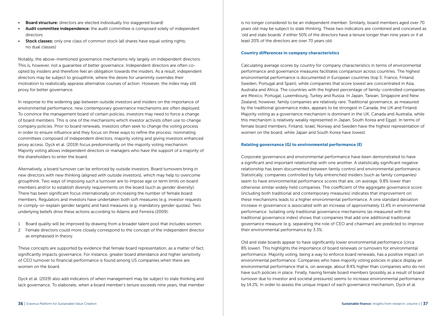- Board structure: directors are elected individually (no staggered board)
- Audit committee independence: the audit committee is composed solely of independent directors
- Stock classes: only one class of common stock (all shares have equal voting rights; no dual classes)

Notably, the above-mentioned governance mechanisms rely largely on independent directors. This is, however, not a guarantee of better governance. Independent directors are often coopted by insiders and therefore feel an obligation towards the insiders. As a result, independent directors may be subject to groupthink, where the desire for unanimity overrides their motivation to realistically appraise alternative courses of action. However, the index may still proxy for better governance.

In response to the widening gap between outside investors and insiders on the importance of environmental performance, new contemporary governance mechanisms are often deployed. To convince the management board of certain policies, investors may need to force a change of board members. This is one of the mechanisms which investor activists often use to change company policies. Prior to board renewals, investors often seek to change the voting process in order to ensure influence and they focus on three ways to refine the process: nominating committees composed of independent directors, majority voting and giving investors enhanced proxy access. Dyck et al. (2019) focus predominantly on the majority voting mechanism. Majority voting allows independent directors or managers who have the support of a majority of the shareholders to enter the board.

Alternatively, a board turnover can be enforced by outside investors. Board turnovers bring in new directors with new thinking (aligned with outside investors), which may help to overcome groupthink. Two ways of imposing such a turnover are to impose age or term limits on board members and/or to establish diversity requirements on the board (such as gender diversity). There has been significant focus internationally on increasing the number of female board members. Regulators and investors have undertaken both soft measures (e.g. investor requests or comply-or-explain gender targets) and hard measures (e.g. mandatory gender quotas). Two underlying beliefs drive these actions according to Adams and Ferreira (2009):

- 1 Board quality will be improved by drawing from a broader talent pool that includes women.
- 2 Female directors could more closely correspond to the concept of the independent director as emphasised in theory.

These concepts are supported by evidence that female board representation, as a matter of fact, significantly impacts governance. For instance, greater board attendance and higher sensitivity of CEO turnover to financial performance is found among US companies when there are women on the board.

Dyck et al. (2019) also add indicators of when management may be subject to stale thinking and lack governance. To elaborate, when a board member's tenure exceeds nine years, that member is no longer considered to be an independent member. Similarly, board members aged over 70 years old may be subject to stale thinking. These two indicators are combined and conceived as 'old and stale boards' if either 50% of the directors have a tenure longer than nine years or if at least 20% of the directors are over 70 years old.

#### Country differences in company characteristics

Calculating average scores by country for company characteristics in terms of environmental performance and governance measures facilitates comparison across countries. The highest environmental performance is documented in European countries (top 5: France, Finland, Sweden, Portugal and Spain), while companies that score lowest are concentrated in Asia, Australia and Africa. The countries with the highest percentage of family-controlled companies are Mexico, Portugal, Luxembourg, Turkey and Russia. In Japan, Taiwan, Singapore and New Zealand, however, family companies are relatively rare. Traditional governance, as measured by the traditional governance index, appears to be strongest in Canada, the UK and Finland. Majority voting as a governance mechanism is dominant in the UK, Canada and Australia, while this mechanism is relatively weakly represented in Japan, South Korea and Egypt. In terms of female board members, Finland, Israel, Norway and Sweden have the highest representation of women on the board, while Japan and South Korea have lowest.

#### Relating governance (G) to environmental performance (E)

Corporate governance and environmental performance have been demonstrated to have a significant and important relationship with one another. A statistically significant negative relationship has been documented between family control and environmental performance. Statistically, companies controlled by fully entrenched insiders (such as family companies) seem to have environmental performance scores that are, on average, 9.8% lower than otherwise similar widely held companies. The coefficient of the aggregate governance score (including both traditional and contemporary measures) indicates that improvement on these mechanisms leads to a higher environmental performance. A one standard deviation increase in governance is associated with an increase of approximately 11.4% in environmental performance. Isolating only traditional governance mechanisms (as measured with the traditional governance index) shows that companies that add one additional traditional governance measure (e.g. separating the role of CEO and chairman) are predicted to improve their environmental performance by 3.3%.

Old and stale boards appear to have significantly lower environmental performance (circa 8% lower). This highlights the importance of board renewals or turnovers for environmental performance. Majority voting, being a way to enforce board renewals, has a positive impact on environmental performance. Companies who have majority voting policies in place display an environmental performance that is, on average, about 8.4% higher than companies who do not have such policies in place. Finally, having female board members (possibly as a result of board turnover due to investor and societal pressures) seems to increase environmental performance by 14.2%. In order to assess the unique impact of each governance mechanism, Dyck et al.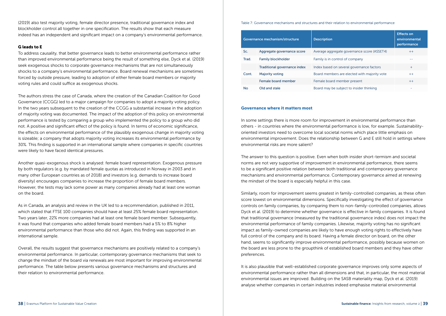(2019) also test majority voting, female director presence, traditional governance index and blockholder control all together in one specification. The results show that each measure indeed has an independent and significant impact on a company's environmental performance.

#### G leads to E

To address causality, that better governance leads to better environmental performance rather than improved environmental performance being the result of something else, Dyck et al. (2019) seek exogenous shocks to corporate governance mechanisms that are not simultaneously shocks to a company's environmental performance. Board renewal mechanisms are sometimes forced by outside pressure, leading to adoption of either female board members or majority voting rules and could suffice as exogenous shocks.

The authors stress the case of Canada, where the creation of the Canadian Coalition for Good Governance (CCGG) led to a major campaign for companies to adopt a majority voting policy. In the two years subsequent to the creation of the CCGG a substantial increase in the adoption of majority voting was documented. The impact of the adoption of this policy on environmental performance is tested by comparing a group who implemented the policy to a group who did not. A positive and significant effect of the policy is found. In terms of economic significance, the effects on environmental performance of the plausibly exogenous change in majority voting is sizeable; a company that adopts majority voting increases its environmental performance by 30%. This finding is supported in an international sample where companies in specific countries were likely to have faced identical pressures.

Another quasi-exogenous shock is analysed: female board representation. Exogenous pressure by both regulators (e.g. by mandated female quotas as introduced in Norway in 2003 and in many other European countries as of 2018) and investors (e.g. demands to increase board diversity) encourages companies to increase the proportion of female board members. However, the tests may lack some power as many companies already had at least one woman on the board.

As in Canada, an analysis and review in the UK led to a recommendation, published in 2011, which stated that FTSE 100 companies should have at least 25% female board representation. Two years later, 22% more companies had at least one female board member. Subsequently, it was found that companies who added female board members had a 5% to 8% higher environmental performance than those who did not. Again, this finding was supported in an international sample.

Overall, the results suggest that governance mechanisms are positively related to a company's environmental performance. In particular, contemporary governance mechanisms that seek to change the mindset of the board via renewals are most important for improving environmental performance. The table below presents various governance mechanisms and structures and their relation to environmental performance.

#### Table 7: Governance mechanisms and structures and their relation to environmental performance

|       | Governance mechanism/structure | <b>Description</b>                           | <b>Effects on</b><br>environmental<br>performance |
|-------|--------------------------------|----------------------------------------------|---------------------------------------------------|
| Sc.   | Aggregate governance score     | Average aggregate governance score (ASSET4)  | $+ +$                                             |
| Trad. | <b>Family blockholder</b>      | Family is in control of company              |                                                   |
|       | Traditional governance index   | Index based on several governance factors    | $^{+}$                                            |
| Cont. | <b>Majority voting</b>         | Board members are elected with majority vote | $^{++}$                                           |
|       | Female board member            | Female board member present                  | $++$                                              |
| No    | Old and stale                  | Board may be subject to insider thinking     | ۰                                                 |

#### Governance where it matters most

In some settings there is more room for improvement in environmental performance than others - in countries where the environmental performance is low, for example. Sustainabilityoriented investors need to overcome local societal norms which place little emphasis on environmental improvement. Does the relationship between G and E still hold in settings where environmental risks are more salient?

The answer to this question is positive. Even when both insider short-termism and societal norms are not very supportive of improvement in environmental performance, there seems to be a significant positive relation between both traditional and contemporary governance mechanisms and environmental performance. Contemporary governance aimed at renewing the mindset of the board is especially helpful in this case.

Similarly, room for improvement seems greatest in family-controlled companies, as these often score lowest on environmental dimensions. Specifically investigating the effect of governance controls on family companies, by comparing them to non-family-controlled companies, allows Dyck et al. (2019) to determine whether governance is effective in family companies. It is found that traditional governance (measured by the traditional governance index) does not impact the environmental performance of family companies. Likewise, majority voting has no significant impact as family-owned companies are likely to have enough voting rights to effectively have full control of the company and its board. Having a female director on board, on the other hand, seems to significantly improve environmental performance, possibly because women on the board are less prone to the groupthink of established board members and they have other preferences.

It is also plausible that well-established corporate governance improves only some aspects of environmental performance rather than all dimensions and that, in particular, the most material environmental issues are improved. Building on the SASB materiality map, Dyck et al. (2019) analyse whether companies in certain industries indeed emphasise material environmental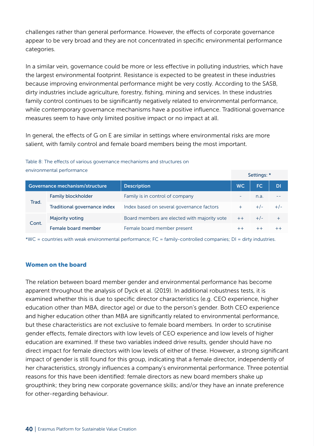challenges rather than general performance. However, the effects of corporate governance appear to be very broad and they are not concentrated in specific environmental performance categories.

In a similar vein, governance could be more or less effective in polluting industries, which have the largest environmental footprint. Resistance is expected to be greatest in these industries because improving environmental performance might be very costly. According to the SASB, dirty industries include agriculture, forestry, fishing, mining and services. In these industries family control continues to be significantly negatively related to environmental performance, while contemporary governance mechanisms have a positive influence. Traditional governance measures seem to have only limited positive impact or no impact at all.

In general, the effects of G on E are similar in settings where environmental risks are more salient, with family control and female board members being the most important.

Table 8: The effects of various governance mechanisms and structures on environmental performance

|                                | Christmannental performance  |                                              |           | Settings: * |         |
|--------------------------------|------------------------------|----------------------------------------------|-----------|-------------|---------|
| Governance mechanism/structure |                              | <b>Description</b>                           | <b>WC</b> | FC.         | DI      |
| Trad.                          | <b>Family blockholder</b>    | Family is in control of company              | ۰         | n.a.        | - -     |
|                                | Traditional governance index | Index based on several governance factors    | $\ddot{}$ | $+/-$       | $+/-$   |
| Cont.                          | <b>Majority voting</b>       | Board members are elected with majority vote | $++$      | $+/-$       |         |
|                                | Female board member          | Female board member present                  |           | $++$        | $^{++}$ |

\*WC = countries with weak environmental performance; FC = family-controlled companies; DI = dirty industries.

#### Women on the board

The relation between board member gender and environmental performance has become apparent throughout the analysis of Dyck et al. (2019). In additional robustness tests, it is examined whether this is due to specific director characteristics (e.g. CEO experience, higher education other than MBA, director age) or due to the person's gender. Both CEO experience and higher education other than MBA are significantly related to environmental performance, but these characteristics are not exclusive to female board members. In order to scrutinise gender effects, female directors with low levels of CEO experience and low levels of higher education are examined. If these two variables indeed drive results, gender should have no direct impact for female directors with low levels of either of these. However, a strong significant impact of gender is still found for this group, indicating that a female director, independently of her characteristics, strongly influences a company's environmental performance. Three potential reasons for this have been identified: female directors as new board members shake up groupthink; they bring new corporate governance skills; and/or they have an innate preference for other-regarding behaviour.